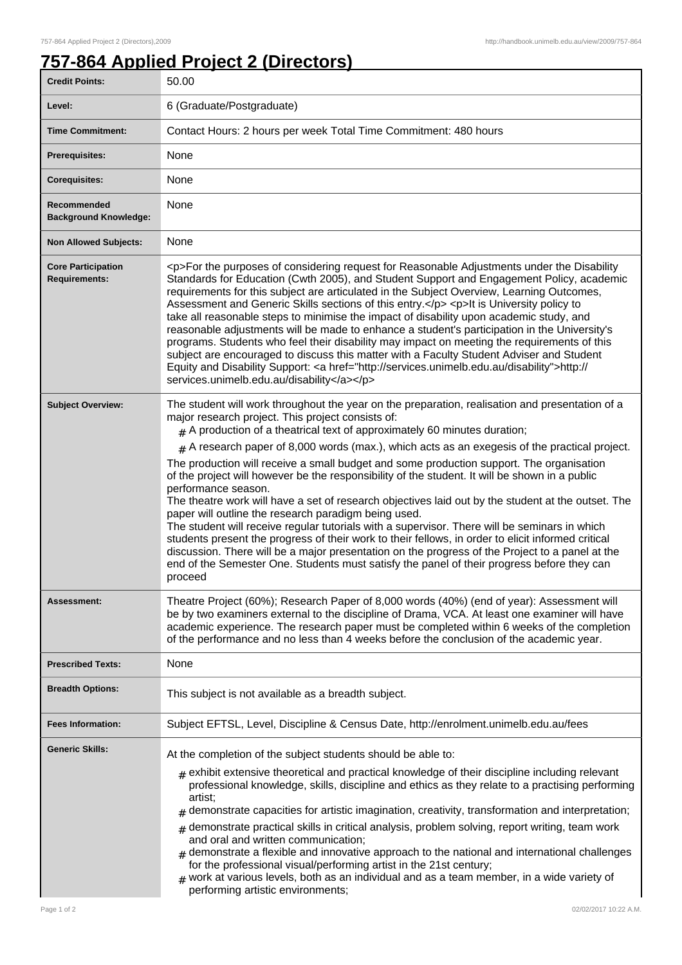## **757-864 Applied Project 2 (Directors)**

| <b>Credit Points:</b>                             | 50.00                                                                                                                                                                                                                                                                                                                                                                                                                                                                                                                                                                                                                                                                                                                                                                                                                                                                                                                                                                                                                                                                                                                                                   |
|---------------------------------------------------|---------------------------------------------------------------------------------------------------------------------------------------------------------------------------------------------------------------------------------------------------------------------------------------------------------------------------------------------------------------------------------------------------------------------------------------------------------------------------------------------------------------------------------------------------------------------------------------------------------------------------------------------------------------------------------------------------------------------------------------------------------------------------------------------------------------------------------------------------------------------------------------------------------------------------------------------------------------------------------------------------------------------------------------------------------------------------------------------------------------------------------------------------------|
| Level:                                            | 6 (Graduate/Postgraduate)                                                                                                                                                                                                                                                                                                                                                                                                                                                                                                                                                                                                                                                                                                                                                                                                                                                                                                                                                                                                                                                                                                                               |
| <b>Time Commitment:</b>                           | Contact Hours: 2 hours per week Total Time Commitment: 480 hours                                                                                                                                                                                                                                                                                                                                                                                                                                                                                                                                                                                                                                                                                                                                                                                                                                                                                                                                                                                                                                                                                        |
| <b>Prerequisites:</b>                             | None                                                                                                                                                                                                                                                                                                                                                                                                                                                                                                                                                                                                                                                                                                                                                                                                                                                                                                                                                                                                                                                                                                                                                    |
| <b>Corequisites:</b>                              | None                                                                                                                                                                                                                                                                                                                                                                                                                                                                                                                                                                                                                                                                                                                                                                                                                                                                                                                                                                                                                                                                                                                                                    |
| Recommended<br><b>Background Knowledge:</b>       | None                                                                                                                                                                                                                                                                                                                                                                                                                                                                                                                                                                                                                                                                                                                                                                                                                                                                                                                                                                                                                                                                                                                                                    |
| <b>Non Allowed Subjects:</b>                      | None                                                                                                                                                                                                                                                                                                                                                                                                                                                                                                                                                                                                                                                                                                                                                                                                                                                                                                                                                                                                                                                                                                                                                    |
| <b>Core Participation</b><br><b>Requirements:</b> | <p>For the purposes of considering request for Reasonable Adjustments under the Disability<br/>Standards for Education (Cwth 2005), and Student Support and Engagement Policy, academic<br/>requirements for this subject are articulated in the Subject Overview, Learning Outcomes,<br/>Assessment and Generic Skills sections of this entry.</p> <p>lt is University policy to<br/>take all reasonable steps to minimise the impact of disability upon academic study, and<br/>reasonable adjustments will be made to enhance a student's participation in the University's<br/>programs. Students who feel their disability may impact on meeting the requirements of this<br/>subject are encouraged to discuss this matter with a Faculty Student Adviser and Student<br/>Equity and Disability Support: &lt; a href="http://services.unimelb.edu.au/disability"&gt;http://<br/>services.unimelb.edu.au/disability</p>                                                                                                                                                                                                                            |
| <b>Subject Overview:</b>                          | The student will work throughout the year on the preparation, realisation and presentation of a<br>major research project. This project consists of:<br>$_{\text{\#}}$ A production of a theatrical text of approximately 60 minutes duration;<br>$#$ A research paper of 8,000 words (max.), which acts as an exegesis of the practical project.<br>The production will receive a small budget and some production support. The organisation<br>of the project will however be the responsibility of the student. It will be shown in a public<br>performance season.<br>The theatre work will have a set of research objectives laid out by the student at the outset. The<br>paper will outline the research paradigm being used.<br>The student will receive regular tutorials with a supervisor. There will be seminars in which<br>students present the progress of their work to their fellows, in order to elicit informed critical<br>discussion. There will be a major presentation on the progress of the Project to a panel at the<br>end of the Semester One. Students must satisfy the panel of their progress before they can<br>proceed |
| Assessment:                                       | Theatre Project (60%); Research Paper of 8,000 words (40%) (end of year): Assessment will<br>be by two examiners external to the discipline of Drama, VCA. At least one examiner will have<br>academic experience. The research paper must be completed within 6 weeks of the completion<br>of the performance and no less than 4 weeks before the conclusion of the academic year.                                                                                                                                                                                                                                                                                                                                                                                                                                                                                                                                                                                                                                                                                                                                                                     |
| <b>Prescribed Texts:</b>                          | None                                                                                                                                                                                                                                                                                                                                                                                                                                                                                                                                                                                                                                                                                                                                                                                                                                                                                                                                                                                                                                                                                                                                                    |
| <b>Breadth Options:</b>                           | This subject is not available as a breadth subject.                                                                                                                                                                                                                                                                                                                                                                                                                                                                                                                                                                                                                                                                                                                                                                                                                                                                                                                                                                                                                                                                                                     |
| <b>Fees Information:</b>                          | Subject EFTSL, Level, Discipline & Census Date, http://enrolment.unimelb.edu.au/fees                                                                                                                                                                                                                                                                                                                                                                                                                                                                                                                                                                                                                                                                                                                                                                                                                                                                                                                                                                                                                                                                    |
| <b>Generic Skills:</b>                            | At the completion of the subject students should be able to:<br>$_{\#}$ exhibit extensive theoretical and practical knowledge of their discipline including relevant<br>professional knowledge, skills, discipline and ethics as they relate to a practising performing<br>artist;<br>demonstrate capacities for artistic imagination, creativity, transformation and interpretation;<br>#<br>demonstrate practical skills in critical analysis, problem solving, report writing, team work<br>#<br>and oral and written communication;<br>demonstrate a flexible and innovative approach to the national and international challenges<br>#<br>for the professional visual/performing artist in the 21st century;<br>work at various levels, both as an individual and as a team member, in a wide variety of<br>#<br>performing artistic environments;                                                                                                                                                                                                                                                                                                 |